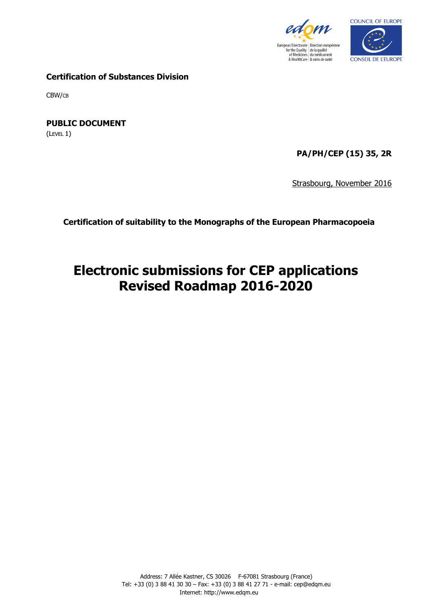



**Certification of Substances Division**

CBW/CB

**PUBLIC DOCUMENT**

(LEVEL 1)

**PA/PH/CEP (15) 35, 2R**

Strasbourg, November 2016

**Certification of suitability to the Monographs of the European Pharmacopoeia**

# **Electronic submissions for CEP applications Revised Roadmap 2016-2020**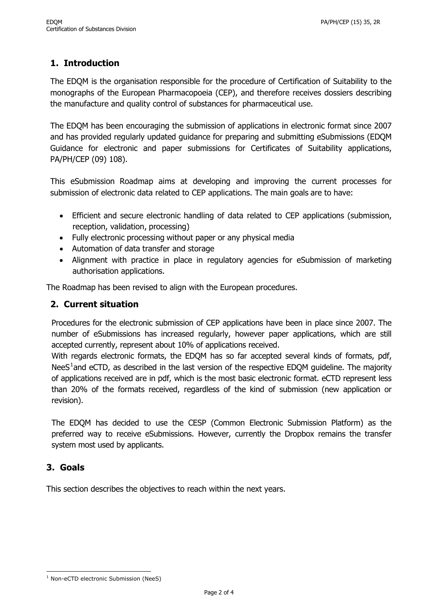## **1. Introduction**

The EDQM is the organisation responsible for the procedure of Certification of Suitability to the monographs of the European Pharmacopoeia (CEP), and therefore receives dossiers describing the manufacture and quality control of substances for pharmaceutical use.

The EDQM has been encouraging the submission of applications in electronic format since 2007 and has provided regularly updated guidance for preparing and submitting eSubmissions (EDQM Guidance for electronic and paper submissions for Certificates of Suitability applications, PA/PH/CEP (09) 108).

This eSubmission Roadmap aims at developing and improving the current processes for submission of electronic data related to CEP applications. The main goals are to have:

- Efficient and secure electronic handling of data related to CEP applications (submission, reception, validation, processing)
- Fully electronic processing without paper or any physical media
- Automation of data transfer and storage
- Alignment with practice in place in regulatory agencies for eSubmission of marketing authorisation applications.

The Roadmap has been revised to align with the European procedures.

### **2. Current situation**

Procedures for the electronic submission of CEP applications have been in place since 2007. The number of eSubmissions has increased regularly, however paper applications, which are still accepted currently, represent about 10% of applications received.

With regards electronic formats, the EDQM has so far accepted several kinds of formats, pdf, Nee $S<sup>1</sup>$  $S<sup>1</sup>$  $S<sup>1</sup>$ and eCTD, as described in the last version of the respective EDQM guideline. The majority of applications received are in pdf, which is the most basic electronic format. eCTD represent less than 20% of the formats received, regardless of the kind of submission (new application or revision).

The EDQM has decided to use the CESP (Common Electronic Submission Platform) as the preferred way to receive eSubmissions. However, currently the Dropbox remains the transfer system most used by applicants.

#### **3. Goals**

This section describes the objectives to reach within the next years.

<span id="page-1-0"></span>l <sup>1</sup> Non-eCTD electronic Submission (NeeS)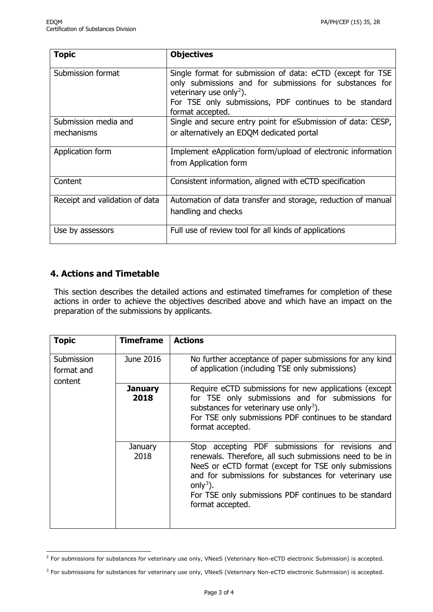| <b>Topic</b>                   | <b>Objectives</b>                                                                                                                                                                                                                          |
|--------------------------------|--------------------------------------------------------------------------------------------------------------------------------------------------------------------------------------------------------------------------------------------|
| Submission format              | Single format for submission of data: eCTD (except for TSE<br>only submissions and for submissions for substances for<br>veterinary use only <sup>2</sup> ).<br>For TSE only submissions, PDF continues to be standard<br>format accepted. |
| Submission media and           | Single and secure entry point for eSubmission of data: CESP,                                                                                                                                                                               |
| mechanisms                     | or alternatively an EDQM dedicated portal                                                                                                                                                                                                  |
| Application form               | Implement eApplication form/upload of electronic information<br>from Application form                                                                                                                                                      |
| Content                        | Consistent information, aligned with eCTD specification                                                                                                                                                                                    |
| Receipt and validation of data | Automation of data transfer and storage, reduction of manual<br>handling and checks                                                                                                                                                        |
| Use by assessors               | Full use of review tool for all kinds of applications                                                                                                                                                                                      |

### **4. Actions and Timetable**

l

This section describes the detailed actions and estimated timeframes for completion of these actions in order to achieve the objectives described above and which have an impact on the preparation of the submissions by applicants.

| <b>Topic</b>                        | <b>Timeframe</b>       | <b>Actions</b>                                                                                                                                                                                                                                                                                                                    |
|-------------------------------------|------------------------|-----------------------------------------------------------------------------------------------------------------------------------------------------------------------------------------------------------------------------------------------------------------------------------------------------------------------------------|
| Submission<br>format and<br>content | June 2016              | No further acceptance of paper submissions for any kind<br>of application (including TSE only submissions)                                                                                                                                                                                                                        |
|                                     | <b>January</b><br>2018 | Require eCTD submissions for new applications (except<br>for TSE only submissions and for submissions for<br>substances for veterinary use only <sup>3</sup> ).<br>For TSE only submissions PDF continues to be standard<br>format accepted.                                                                                      |
|                                     | January<br>2018        | Stop accepting PDF submissions for revisions and<br>renewals. Therefore, all such submissions need to be in<br>NeeS or eCTD format (except for TSE only submissions<br>and for submissions for substances for veterinary use<br>only <sup>3</sup> ).<br>For TSE only submissions PDF continues to be standard<br>format accepted. |

<span id="page-2-0"></span> $^2$  For submissions for substances for veterinary use only, VNeeS (Veterinary Non-eCTD electronic Submission) is accepted.

<span id="page-2-1"></span><sup>&</sup>lt;sup>3</sup> For submissions for substances for veterinary use only, VNeeS (Veterinary Non-eCTD electronic Submission) is accepted.